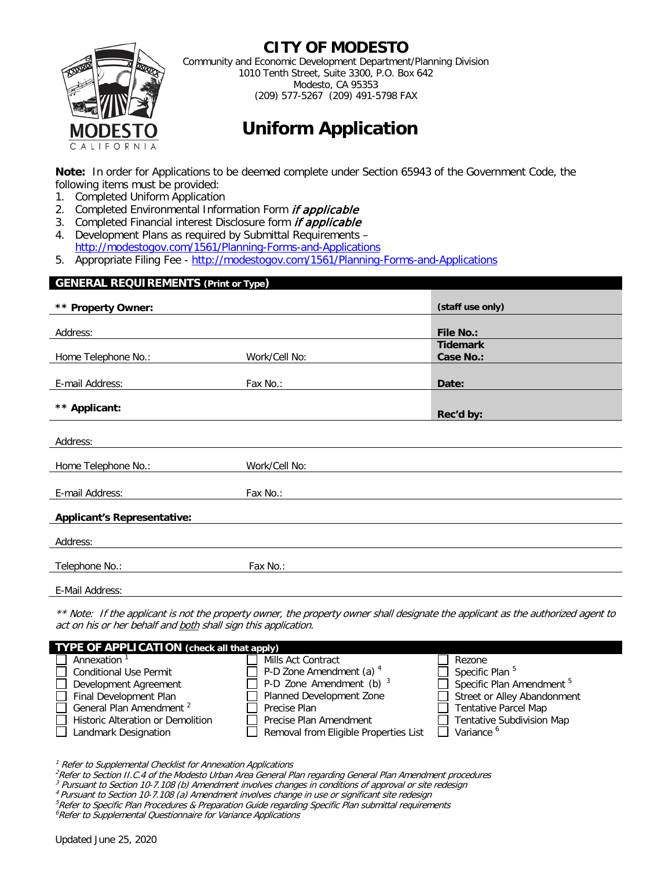

### **CITY OF MODESTO**

Community and Economic Development Department/Planning Division 1010 Tenth Street, Suite 3300, P.O. Box 642 Modesto, CA 95353 (209) 577-5267 (209) 491-5798 FAX

# **Uniform Application**

**Note:** In order for Applications to be deemed complete under Section 65943 of the Government Code, the following items must be provided:

- 1. Completed Uniform Application
- 2. Completed Environmental Information Form if applicable
- 3. Completed Financial interest Disclosure form *if applicable*
- 4. Development Plans as required by Submittal Requirements <http://modestogov.com/1561/Planning-Forms-and-Applications>
- 5. Appropriate Filing Fee -<http://modestogov.com/1561/Planning-Forms-and-Applications>

| <b>GENERAL REQUIREMENTS (Print or Type)</b> |               |                              |  |
|---------------------------------------------|---------------|------------------------------|--|
| ** Property Owner:                          |               | (staff use only)             |  |
| Address:                                    |               | <b>File No.:</b>             |  |
| Home Telephone No.:                         | Work/Cell No: | <b>Tidemark</b><br>Case No.: |  |
| E-mail Address:                             | Fax No.:      | Date:                        |  |
| ** Applicant:                               |               |                              |  |
|                                             |               | Rec'd by:                    |  |
| Address:                                    |               |                              |  |
| Home Telephone No.:                         | Work/Cell No: |                              |  |
| E-mail Address:                             | Fax No.:      |                              |  |
| <b>Applicant's Representative:</b>          |               |                              |  |
| Address:                                    |               |                              |  |
| Telephone No.:                              | Fax No.:      |                              |  |
| E-Mail Address:                             |               |                              |  |

\*\* Note: If the applicant is not the property owner, the property owner shall designate the applicant as the authorized agent to act on his or her behalf and both shall sign this application.

| <b>TYPE OF APPLICATION</b> (check all that apply) |                                       |                                      |  |  |  |  |
|---------------------------------------------------|---------------------------------------|--------------------------------------|--|--|--|--|
| Annexation <sup>1</sup>                           | Mills Act Contract                    | Rezone                               |  |  |  |  |
| <b>Conditional Use Permit</b>                     | P-D Zone Amendment (a) <sup>4</sup>   | Specific Plan <sup>5</sup>           |  |  |  |  |
| Development Agreement                             | $\Box$ P-D Zone Amendment (b) $^3$    | Specific Plan Amendment <sup>5</sup> |  |  |  |  |
| Final Development Plan                            | Planned Development Zone              | Street or Alley Abandonment          |  |  |  |  |
| General Plan Amendment <sup>2</sup>               | Precise Plan                          | <b>Tentative Parcel Map</b>          |  |  |  |  |
| Historic Alteration or Demolition                 | Precise Plan Amendment                | Tentative Subdivision Map            |  |  |  |  |
| Landmark Designation                              | Removal from Eligible Properties List | Variance <sup>6</sup>                |  |  |  |  |

 $1$  Refer to Supplemental Checklist for Annexation Applications

<sup>2</sup>Refer to Section II.C.4 of the Modesto Urban Area General Plan regarding General Plan Amendment procedures<br><sup>3</sup> Pursuant to Section 10-7.108 (b) Amendment involves changes in conditions of approval or site redesign<br><sup>4</sup> P

- 
- 
- <sup>5</sup>Refer to Specific Plan Procedures & Preparation Guide regarding Specific Plan submittal requirements

<sup>6</sup>Refer to Supplemental Questionnaire for Variance Applications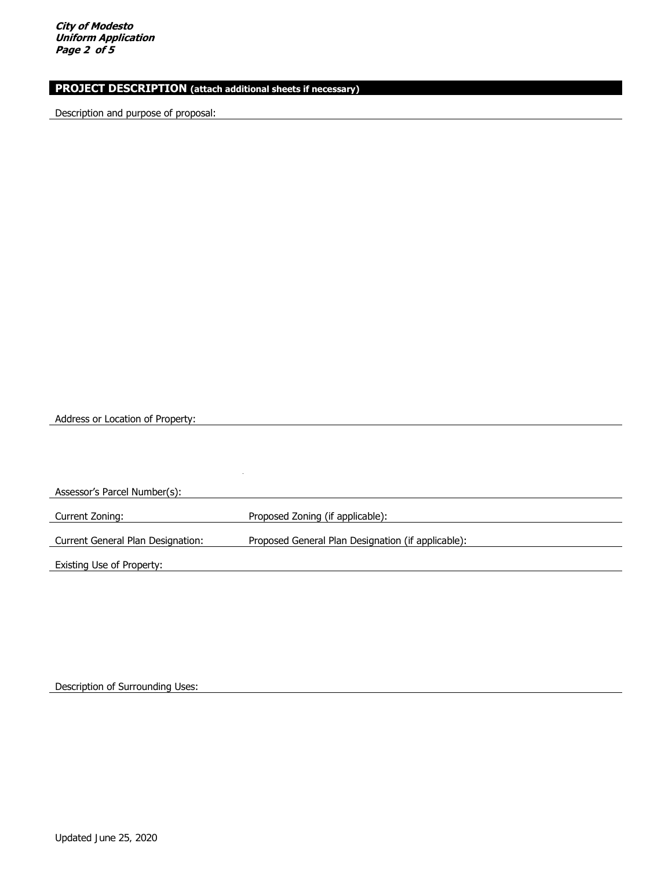**City of Modesto Uniform Application Page 2 of 5** 

### **PROJECT DESCRIPTION (attach additional sheets if necessary)**

Description and purpose of proposal:

Address or Location of Property:

Assessor's Parcel Number(s): Current Zoning: Proposed Zoning (if applicable): Current General Plan Designation: Proposed General Plan Designation (if applicable): Existing Use of Property:

Description of Surrounding Uses: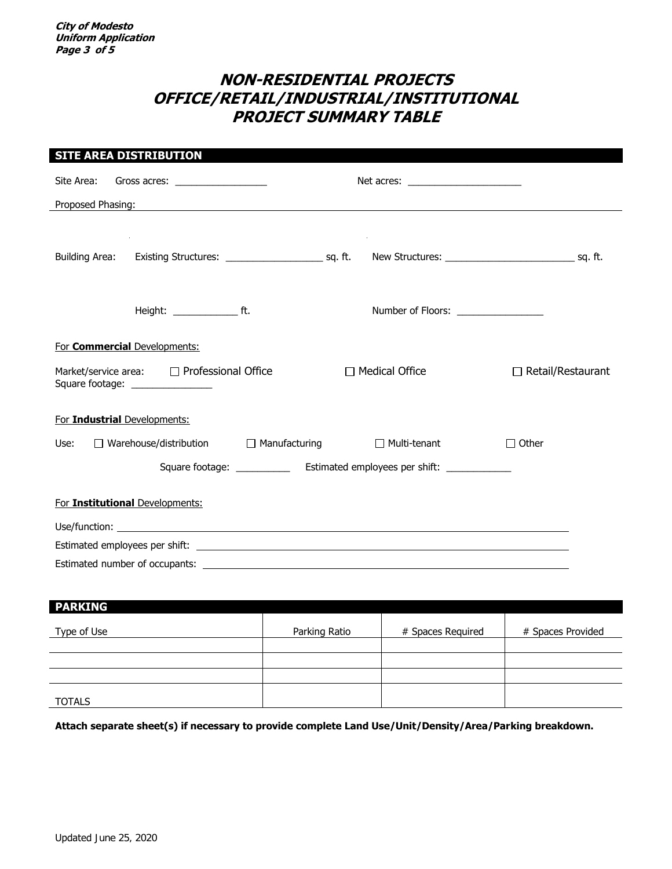# **NON-RESIDENTIAL PROJECTS OFFICE/RETAIL/INDUSTRIAL/INSTITUTIONAL PROJECT SUMMARY TABLE**

| <b>SITE AREA DISTRIBUTION</b>                                                                                                             |                                     |               |                                                                                                                                                                                                                                      |                   |  |  |
|-------------------------------------------------------------------------------------------------------------------------------------------|-------------------------------------|---------------|--------------------------------------------------------------------------------------------------------------------------------------------------------------------------------------------------------------------------------------|-------------------|--|--|
| Site Area:                                                                                                                                | Gross acres: $\frac{1}{2}$          |               |                                                                                                                                                                                                                                      |                   |  |  |
| Proposed Phasing:<br><u> 1989 - Johann Stein, marwolaethau a bhann an t-Amhair an t-Amhair an t-Amhair an t-Amhair an t-Amhair an t-A</u> |                                     |               |                                                                                                                                                                                                                                      |                   |  |  |
|                                                                                                                                           |                                     |               |                                                                                                                                                                                                                                      |                   |  |  |
|                                                                                                                                           |                                     |               |                                                                                                                                                                                                                                      |                   |  |  |
|                                                                                                                                           |                                     |               |                                                                                                                                                                                                                                      |                   |  |  |
|                                                                                                                                           | Height: ____________________ ft.    |               | Number of Floors: __________________                                                                                                                                                                                                 |                   |  |  |
|                                                                                                                                           | For <b>Commercial</b> Developments: |               |                                                                                                                                                                                                                                      |                   |  |  |
| $\Box$ Medical Office<br>$\Box$ Retail/Restaurant<br>Market/service area: □ Professional Office<br>Square footage: ________________       |                                     |               |                                                                                                                                                                                                                                      |                   |  |  |
| For Industrial Developments:                                                                                                              |                                     |               |                                                                                                                                                                                                                                      |                   |  |  |
| $\Box$ Warehouse/distribution $\Box$ Manufacturing<br>$\Box$ Multi-tenant<br>$\Box$ Other<br>Use:                                         |                                     |               |                                                                                                                                                                                                                                      |                   |  |  |
| Square footage: _______________ Estimated employees per shift: _________________                                                          |                                     |               |                                                                                                                                                                                                                                      |                   |  |  |
|                                                                                                                                           | For Institutional Developments:     |               |                                                                                                                                                                                                                                      |                   |  |  |
|                                                                                                                                           |                                     |               | Use/function: <u>the contract of the contract of the contract of the contract of the contract of the contract of the contract of the contract of the contract of the contract of the contract of the contract of the contract of</u> |                   |  |  |
|                                                                                                                                           |                                     |               |                                                                                                                                                                                                                                      |                   |  |  |
|                                                                                                                                           |                                     |               |                                                                                                                                                                                                                                      |                   |  |  |
|                                                                                                                                           |                                     |               |                                                                                                                                                                                                                                      |                   |  |  |
| <b>PARKING</b>                                                                                                                            |                                     |               |                                                                                                                                                                                                                                      |                   |  |  |
| Type of Use                                                                                                                               |                                     | Parking Ratio | # Spaces Required                                                                                                                                                                                                                    | # Spaces Provided |  |  |
|                                                                                                                                           |                                     |               |                                                                                                                                                                                                                                      |                   |  |  |
|                                                                                                                                           |                                     |               |                                                                                                                                                                                                                                      |                   |  |  |

TOTALS

**Attach separate sheet(s) if necessary to provide complete Land Use/Unit/Density/Area/Parking breakdown.**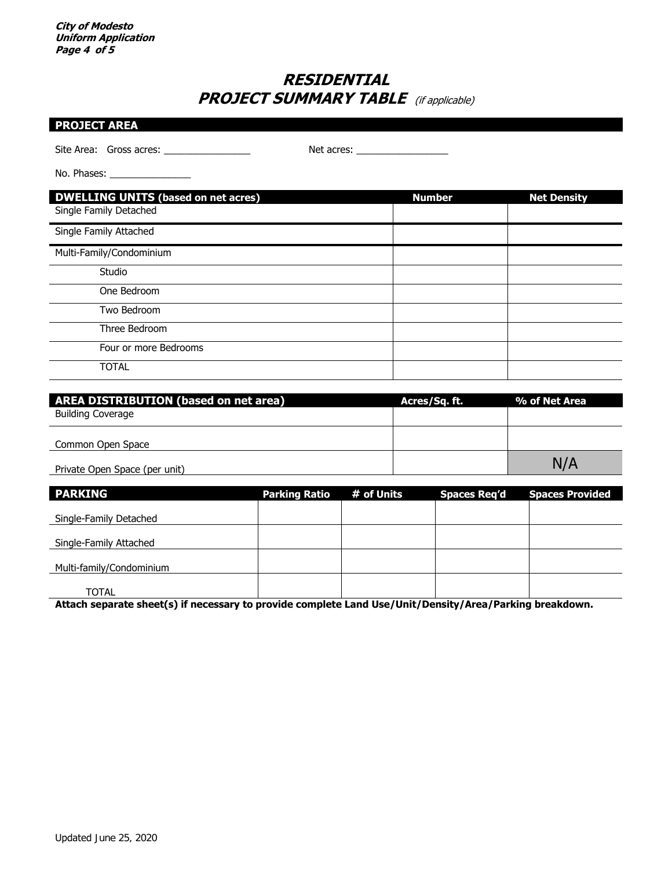# **RESIDENTIAL PROJECT SUMMARY TABLE** (if applicable)

|  | <b>PROJECT AREA</b> |  |  |
|--|---------------------|--|--|

Site Area: Gross acres: \_\_\_\_\_\_\_\_\_\_\_\_\_\_\_\_ Net acres: \_\_\_\_\_\_\_\_\_\_\_\_\_\_\_\_\_

No. Phases: \_\_\_\_\_\_\_\_\_\_\_\_\_\_\_

| <b>DWELLING UNITS (based on net acres)</b> | <b>Number</b> | <b>Net Density</b> |
|--------------------------------------------|---------------|--------------------|
| Single Family Detached                     |               |                    |
| Single Family Attached                     |               |                    |
| Multi-Family/Condominium                   |               |                    |
| Studio                                     |               |                    |
| One Bedroom                                |               |                    |
| Two Bedroom                                |               |                    |
| Three Bedroom                              |               |                    |
| Four or more Bedrooms                      |               |                    |
| <b>TOTAL</b>                               |               |                    |

| <b>AREA DISTRIBUTION (based on net area)</b> | Acres/Sq. ft. | % of Net Area |
|----------------------------------------------|---------------|---------------|
| Building Coverage                            |               |               |
|                                              |               |               |
| Common Open Space                            |               |               |
| Private Open Space (per unit)                |               | NA            |

| <b>PARKING</b>           | <b>Parking Ratio</b> | # of Units | <b>Spaces Req'd</b> | <b>Spaces Provided</b> |
|--------------------------|----------------------|------------|---------------------|------------------------|
| Single-Family Detached   |                      |            |                     |                        |
| Single-Family Attached   |                      |            |                     |                        |
| Multi-family/Condominium |                      |            |                     |                        |
| TOTAL                    |                      |            |                     |                        |

**Attach separate sheet(s) if necessary to provide complete Land Use/Unit/Density/Area/Parking breakdown.**